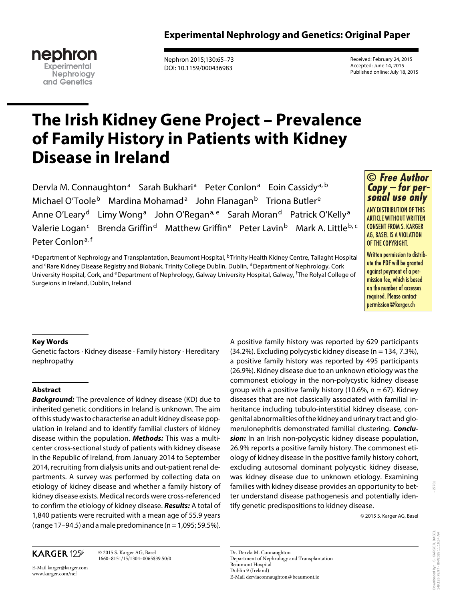### **Experimental Nephrology and Genetics: Original Paper**



 Nephron 2015;130:65–73 DOI: 10.1159/000436983

 Received: February 24, 2015 Accepted: June 14, 2015 Published online: July 18, 2015

# **The Irish Kidney Gene Project – Prevalence of Family History in Patients with Kidney Disease in Ireland**

Dervla M. Connaughton<sup>a</sup> Sarah Bukhari<sup>a</sup> Peter Conlon<sup>a</sup> Eoin Cassidy<sup>a, b</sup> Michael O'Toole<sup>b Mardina Mohamad<sup>a</sup> John Flanagan<sup>b</sup> Triona Butler<sup>e</sup></sup> Anne O'Leary<sup>d</sup> Limy Wong<sup>a</sup> John O'Regan<sup>a, e</sup> Sarah Moran<sup>d</sup> Patrick O'Kelly<sup>a</sup> Valerie Logan<sup>c</sup> Brenda Griffin<sup>d</sup> Matthew Griffin<sup>e</sup> Peter Lavin<sup>b</sup> Mark A. Little<sup>b, c</sup> Peter Conlon<sup>a, f</sup> IOI AIT PALIICK  $\overline{\phantom{a}}$ 

<sup>a</sup> Department of Nephrology and Transplantation, Beaumont Hospital, <sup>b</sup>Trinity Health Kidney Centre, Tallaght Hospital Department of Rephrology and Transplantation, Beadmont Hospital, Trinity Health Rancy Centre, Tallaght Hos<br>and <sup>c</sup>Rare Kidney Disease Registry and Biobank, Trinity College Dublin, Dublin, <sup>d</sup> Department of Nephrology, Cork and mare wancy Bisease wegistry and Biobank, Thinty College Babilit, Babilit, "Department of Nephrology, Cork<br>University Hospital, Cork, and <sup>e</sup> Department of Nephrology, Galway University Hospital, Galway, <sup>f</sup>The Rolyal C Surgeions in Ireland, Dublin, Ireland pital, Galway, The is

## © Free Author Copy – for per-<br>sonal use only

**ANY DISTRIBUTION OF THIS ARTICLE WITHOUT WRITTEN CONSENT FROM S. KARGER AG, BASEL IS A VIOLATION** OF THE COPYRIGHT.

Written permission to distribute the PDF will be granted against payment of a permission fee, which is based on the number of accesses required. Please contact permission@karger.ch

#### **Key Words**

 Genetic factors · Kidney disease · Family history · Hereditary nephropathy

#### **Abstract**

**Background:** The prevalence of kidney disease (KD) due to inherited genetic conditions in Ireland is unknown. The aim of this study was to characterise an adult kidney disease population in Ireland and to identify familial clusters of kidney disease within the population. **Methods:** This was a multicenter cross-sectional study of patients with kidney disease in the Republic of Ireland, from January 2014 to September 2014, recruiting from dialysis units and out-patient renal departments. A survey was performed by collecting data on etiology of kidney disease and whether a family history of kidney disease exists. Medical records were cross-referenced to confirm the etiology of kidney disease. **Results:** A total of 1,840 patients were recruited with a mean age of 55.9 years (range 17–94.5) and a male predominance ( $n = 1,095; 59.5\%$ ).

**KARGER 125** 

 © 2015 S. Karger AG, Basel 1660–8151/15/1304–0065\$39.50/0

E-Mail karger@karger.com www.karger.com/nef

A positive family history was reported by 629 participants  $(34.2\%)$ . Excluding polycystic kidney disease (n = 134, 7.3%), a positive family history was reported by 495 participants (26.9%). Kidney disease due to an unknown etiology was the **©** *Free Author Copy – for per sonal use only* commonest etiology in the non-polycystic kidney disease commenced chology in the non-polycysite mantey alsease<br>group with a positive family history (10.6%, n = 67). Kidney diseases that are not classically associated with familial inheritance including tubulo-interstitial kidney disease, congenital abnormalities of the kidney and urinary tract and glomerulonephritis demonstrated familial clustering. **Conclusion:** In an Irish non-polycystic kidney disease population, 26.9% reports a positive family history. The commonest etiology of kidney disease in the positive family history cohort, excluding autosomal dominant polycystic kidney disease, was kidney disease due to unknown etiology. Examining families with kidney disease provides an opportunity to better understand disease pathogenesis and potentially identify genetic predispositions to kidney disease.  $W$ itti a positive farmiy mistory (10.0%, n = 07). Numey

© 2015 S. Karger AG, Basel

27781

 Dr. Dervla M. Connaughton Department of Nephrology and Transplantation Beaumont Hospital Dublin 9 (Ireland) E-Mail dervlaconnaughton @ beaumont.ie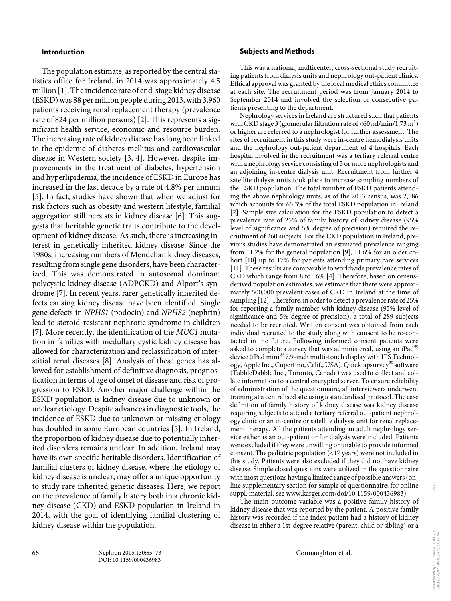#### **Introduction**

 The population estimate, as reported by the central statistics office for Ireland, in 2014 was approximately 4.5 million [1]. The incidence rate of end-stage kidney disease (ESKD) was 88 per million people during 2013, with 3,960 patients receiving renal replacement therapy (prevalence rate of 824 per million persons) [2]. This represents a significant health service, economic and resource burden. The increasing rate of kidney disease has long been linked to the epidemic of diabetes mellitus and cardiovascular disease in Western society [3, 4]. However, despite improvements in the treatment of diabetes, hypertension and hyperlipidemia, the incidence of ESKD in Europe has increased in the last decade by a rate of 4.8% per annum [5]. In fact, studies have shown that when we adjust for risk factors such as obesity and western lifestyle, familial aggregation still persists in kidney disease [6]. This suggests that heritable genetic traits contribute to the development of kidney disease. As such, there is increasing interest in genetically inherited kidney disease. Since the 1980s, increasing numbers of Mendelian kidney diseases, resulting from single gene disorders, have been characterized. This was demonstrated in autosomal dominant polycystic kidney disease (ADPCKD) and Alport's syndrome [7]. In recent years, rarer genetically inherited defects causing kidney disease have been identified. Single gene defects in *NPHS1* (podocin) and *NPHS2* (nephrin) lead to steroid-resistant nephrotic syndrome in children [7] . More recently, the identification of the *MUC1* mutation in families with medullary cystic kidney disease has allowed for characterization and reclassification of interstitial renal diseases [8]. Analysis of these genes has allowed for establishment of definitive diagnosis, prognostication in terms of age of onset of disease and risk of progression to ESKD. Another major challenge within the ESKD population is kidney disease due to unknown or unclear etiology. Despite advances in diagnostic tools, the incidence of ESKD due to unknown or missing etiology has doubled in some European countries [5]. In Ireland, the proportion of kidney disease due to potentially inherited disorders remains unclear. In addition, Ireland may have its own specific heritable disorders. Identification of familial clusters of kidney disease, where the etiology of kidney disease is unclear, may offer a unique opportunity to study rare inherited genetic diseases. Here, we report on the prevalence of family history both in a chronic kidney disease (CKD) and ESKD population in Ireland in 2014, with the goal of identifying familial clustering of kidney disease within the population.

#### **Subjects and Methods**

 This was a national, multicenter, cross-sectional study recruiting patients from dialysis units and nephrology out-patient clinics. Ethical approval was granted by the local medical ethics committee at each site. The recruitment period was from January 2014 to September 2014 and involved the selection of consecutive patients presenting to the department.

 Nephrology services in Ireland are structured such that patients with CKD stage 3 (glomerular filtration rate of <60 ml/min/1.73 m<sup>2</sup>) or higher are referred to a nephrologist for further assessment. The sites of recruitment in this study were in-centre hemodialysis units and the nephrology out-patient department of 4 hospitals. Each hospital involved in the recruitment was a tertiary referral centre with a nephrology service consisting of 3 or more nephrologists and an adjoining in-centre dialysis unit. Recruitment from further 4 satellite dialysis units took place to increase sampling numbers of the ESKD population. The total number of ESKD patients attending the above nephrology units, as of the 2013 census, was 2,586 which accounts for 65.3% of the total ESKD population in Ireland [2]. Sample size calculation for the ESKD population to detect a prevalence rate of 25% of family history of kidney disease (95% level of significance and 5% degree of precision) required the recruitment of 260 subjects. For the CKD population in Ireland, previous studies have demonstrated an estimated prevalence ranging from 11.2% for the general population  $[9]$ , 11.6% for an older cohort [10] up to 17% for patients attending primary care services [11]. These results are comparable to worldwide prevalence rates of CKD which range from 8 to 16% [4] . Therefore, based on censusderived population estimates, we estimate that there were approximately 500,000 prevalent cases of CKD in Ireland at the time of sampling [12]. Therefore, in order to detect a prevalence rate of 25% for reporting a family member with kidney disease (95% level of significance and 5% degree of precision), a total of 289 subjects needed to be recruited. Written consent was obtained from each individual recruited to the study along with consent to be re-contacted in the future. Following informed consent patients were asked to complete a survey that was administered, using an iPad<sup>®</sup> device (iPad mini® 7.9-inch multi-touch display with IPS Technology, Apple Inc., Cupertino, Calif., USA). Quicktapsurvey ® software (TabbleDabble Inc., Toronto, Canada) was used to collect and collate information to a central encrypted server. To ensure reliability of administration of the questionnaire, all interviewers underwent training at a centralised site using a standardised protocol. The case definition of family history of kidney disease was kidney disease requiring subjects to attend a tertiary referral out-patient nephrology clinic or an in-centre or satellite dialysis unit for renal replacement therapy. All the patients attending an adult nephrology service either as an out-patient or for dialysis were included. Patients were excluded if they were unwilling or unable to provide informed consent. The pediatric population (<17 years) were not included in this study. Patients were also excluded if they did not have kidney disease. Simple closed questions were utilized in the questionnaire with most questions having a limited range of possible answers (online supplementary section for sample of questionnaire; for online suppl. material, see www.karger.com/doi/10.1159/000436983).

 The main outcome variable was a positive family history of kidney disease that was reported by the patient. A positive family history was recorded if the index patient had a history of kidney disease in either a 1st-degree relative (parent, child or sibling) or a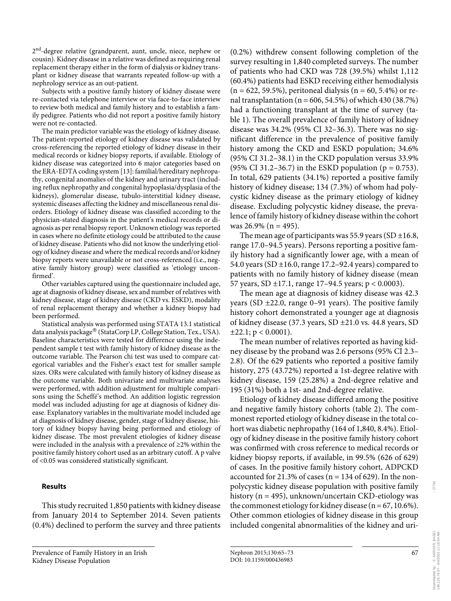2<sup>nd</sup>-degree relative (grandparent, aunt, uncle, niece, nephew or cousin). Kidney disease in a relative was defined as requiring renal replacement therapy either in the form of dialysis or kidney transplant or kidney disease that warrants repeated follow-up with a nephrology service as an out-patient.

 Subjects with a positive family history of kidney disease were re-contacted via telephone interview or via face-to-face interview to review both medical and family history and to establish a family pedigree. Patients who did not report a positive family history were not re-contacted.

 The main predictor variable was the etiology of kidney disease. The patient-reported etiology of kidney disease was validated by cross-referencing the reported etiology of kidney disease in their medical records or kidney biopsy reports, if available. Etiology of kidney disease was categorized into 6 major categories based on the ERA-EDTA coding system [13] : familial/hereditary nephropathy, congenital anomalies of the kidney and urinary tract (including reflux nephropathy and congenital hypoplasia/dysplasia of the kidneys), glomerular disease, tubulo-interstitial kidney disease, systemic diseases affecting the kidney and miscellaneous renal disorders. Etiology of kidney disease was classified according to the physician-stated diagnosis in the patient's medical records or diagnosis as per renal biopsy report. Unknown etiology was reported in cases where no definite etiology could be attributed to the cause of kidney disease. Patients who did not know the underlying etiology of kidney disease and where the medical records and/or kidney biopsy reports were unavailable or not cross-referenced (i.e., negative family history group) were classified as 'etiology unconfirmed'.

 Other variables captured using the questionnaire included age, age at diagnosis of kidney disease, sex and number of relatives with kidney disease, stage of kidney disease (CKD vs. ESKD), modality of renal replacement therapy and whether a kidney biopsy had been performed.

 Statistical analysis was performed using STATA 13.1 statistical data analysis package® (StataCorp LP, College Station, Tex., USA). Baseline characteristics were tested for difference using the independent sample t test with family history of kidney disease as the outcome variable. The Pearson chi test was used to compare categorical variables and the Fisher's exact test for smaller sample sizes. ORs were calculated with family history of kidney disease as the outcome variable. Both univariate and multivariate analyses were performed, with addition adjustment for multiple comparisons using the Scheffé's method. An addition logistic regression model was included adjusting for age at diagnosis of kidney disease. Explanatory variables in the multivariate model included age at diagnosis of kidney disease, gender, stage of kidney disease, history of kidney biopsy having being performed and etiology of kidney disease. The most prevalent etiologies of kidney disease were included in the analysis with a prevalence of  $\geq$ 2% within the positive family history cohort used as an arbitrary cutoff. A p valve of <0.05 was considered statistically significant.

#### **Results**

 This study recruited 1,850 patients with kidney disease from January 2014 to September 2014. Seven patients (0.4%) declined to perform the survey and three patients (0.2%) withdrew consent following completion of the survey resulting in 1,840 completed surveys. The number of patients who had CKD was 728 (39.5%) whilst 1,112 (60.4%) patients had ESKD receiving either hemodialysis  $(n = 622, 59.5\%)$ , peritoneal dialysis  $(n = 60, 5.4\%)$  or renal transplantation ( $n = 606, 54.5\%$ ) of which 430 (38.7%) had a functioning transplant at the time of survey (table 1). The overall prevalence of family history of kidney disease was 34.2% (95% CI 32–36.3). There was no significant difference in the prevalence of positive family history among the CKD and ESKD population; 34.6% (95% CI 31.2–38.1) in the CKD population versus 33.9% (95% CI 31.2–36.7) in the ESKD population ( $p = 0.753$ ). In total, 629 patients (34.1%) reported a positive family history of kidney disease; 134 (7.3%) of whom had polycystic kidney disease as the primary etiology of kidney disease. Excluding polycystic kidney disease, the prevalence of family history of kidney disease within the cohort was  $26.9\%$  (n = 495).

The mean age of participants was 55.9 years (SD  $\pm$ 16.8, range 17.0–94.5 years). Persons reporting a positive family history had a significantly lower age, with a mean of 54.0 years (SD  $\pm$ 16.0, range 17.2–92.4 years) compared to patients with no family history of kidney disease (mean 57 years, SD  $\pm$ 17.1, range 17–94.5 years; p < 0.0003).

 The mean age at diagnosis of kidney disease was 42.3 years (SD  $\pm$ 22.0, range 0–91 years). The positive family history cohort demonstrated a younger age at diagnosis of kidney disease (37.3 years, SD ±21.0 vs. 44.8 years, SD  $\pm 22.1$ ; p < 0.0001).

 The mean number of relatives reported as having kidney disease by the proband was 2.6 persons (95% CI 2.3– 2.8). Of the 629 patients who reported a positive family history, 275 (43.72%) reported a 1st-degree relative with kidney disease, 159 (25.28%) a 2nd-degree relative and 195 (31%) both a 1st- and 2nd-degree relative.

 Etiology of kidney disease differed among the positive and negative family history cohorts (table 2). The commonest reported etiology of kidney disease in the total cohort was diabetic nephropathy (164 of 1,840, 8.4%). Etiology of kidney disease in the positive family history cohort was confirmed with cross reference to medical records or kidney biopsy reports, if available, in 99.5% (626 of 629) of cases. In the positive family history cohort, ADPCKD accounted for 21.3% of cases ( $n = 134$  of 629). In the nonpolycystic kidney disease population with positive family history (n = 495), unknown/uncertain CKD-etiology was the commonest etiology for kidney disease ( $n = 67, 10.6\%$ ). Other common etiologies of kidney disease in this group included congenital abnormalities of the kidney and uri-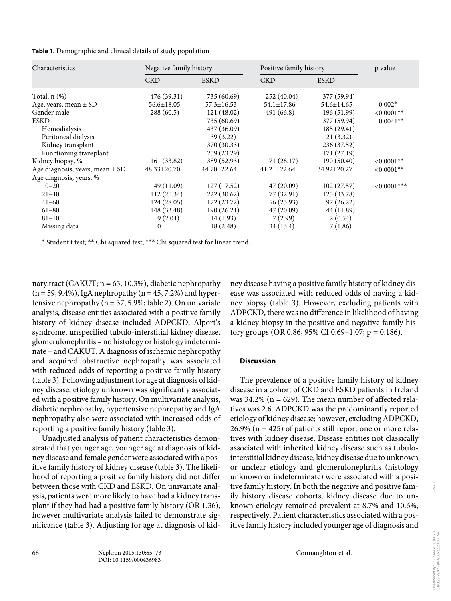**Table 1.** Demographic and clinical details of study population

| Characteristics                                                               | Negative family history |                  | Positive family history | p value     |                |
|-------------------------------------------------------------------------------|-------------------------|------------------|-------------------------|-------------|----------------|
|                                                                               | <b>CKD</b>              | <b>ESKD</b>      | <b>CKD</b>              | <b>ESKD</b> |                |
| Total, $n$ $(\%)$                                                             | 476 (39.31)             | 735 (60.69)      | 252 (40.04)             | 377 (59.94) |                |
| Age, years, mean $\pm$ SD                                                     | $56.6 \pm 18.05$        | $57.3 \pm 16.53$ | $54.1 \pm 17.86$        | 54.6±14.65  | $0.002*$       |
| Gender male                                                                   | 288(60.5)               | 121 (48.02)      | 491 (66.8)              | 196 (51.99) | $< 0.0001**$   |
| <b>ESKD</b>                                                                   |                         | 735 (60.69)      |                         | 377 (59.94) | $0.0041**$     |
| Hemodialysis                                                                  |                         | 437 (36.09)      |                         | 185 (29.41) |                |
| Peritoneal dialysis                                                           |                         | 39 (3.22)        |                         | 21(3.32)    |                |
| Kidney transplant                                                             |                         | 370 (30.33)      |                         | 236 (37.52) |                |
| Functioning transplant                                                        |                         | 259 (23.29)      |                         | 171 (27.19) |                |
| Kidney biopsy, %                                                              | 161 (33.82)             | 389 (52.93)      | 71(28.17)               | 190 (50.40) | $< 0.0001**$   |
| Age diagnosis, years, mean $\pm$ SD                                           | 48.33±20.70             | 44.70±22.64      | $41.21 \pm 22.64$       | 34.92±20.27 | $< 0.0001**$   |
| Age diagnosis, years, %                                                       |                         |                  |                         |             |                |
| $0 - 20$                                                                      | 49 (11.09)              | 127 (17.52)      | 47(20.09)               | 102(27.57)  | $< 0.0001$ *** |
| $21 - 40$                                                                     | 112 (25.34)             | 222 (30.62)      | 77 (32.91)              | 125 (33.78) |                |
| $41 - 60$                                                                     | 124(28.05)              | 172 (23.72)      | 56 (23.93)              | 97 (26.22)  |                |
| $61 - 80$                                                                     | 148 (33.48)             | 190(26.21)       | 47(20.09)               | 44 (11.89)  |                |
| $81 - 100$                                                                    | 9(2.04)                 | 14 (1.93)        | 7(2.99)                 | 2(0.54)     |                |
| Missing data                                                                  | $\mathbf{0}$            | 18 (2.48)        | 34(13.4)                | 7(1.86)     |                |
| * Student t test; ** Chi squared test; *** Chi squared test for linear trend. |                         |                  |                         |             |                |

nary tract (CAKUT;  $n = 65$ , 10.3%), diabetic nephropathy  $(n = 59, 9.4\%)$ , IgA nephropathy  $(n = 45, 7.2\%)$  and hypertensive nephropathy ( $n = 37, 5.9\%$ ; table 2). On univariate analysis, disease entities associated with a positive family history of kidney disease included ADPCKD, Alport's syndrome, unspecified tubulo-interstitial kidney disease, glomerulonephritis – no histology or histology indeterminate – and CAKUT. A diagnosis of ischemic nephropathy and acquired obstructive nephropathy was associated with reduced odds of reporting a positive family history (table 3). Following adjustment for age at diagnosis of kidney disease, etiology unknown was significantly associated with a positive family history. On multivariate analysis, diabetic nephropathy, hypertensive nephropathy and IgA nephropathy also were associated with increased odds of reporting a positive family history (table 3).

 Unadjusted analysis of patient characteristics demonstrated that younger age, younger age at diagnosis of kidney disease and female gender were associated with a positive family history of kidney disease (table 3). The likelihood of reporting a positive family history did not differ between those with CKD and ESKD. On univariate analysis, patients were more likely to have had a kidney transplant if they had had a positive family history (OR 1.36), however multivariate analysis failed to demonstrate significance (table 3). Adjusting for age at diagnosis of kidney disease having a positive family history of kidney disease was associated with reduced odds of having a kidney biopsy (table 3). However, excluding patients with ADPCKD, there was no difference in likelihood of having a kidney biopsy in the positive and negative family history groups (OR 0.86, 95% CI 0.69–1.07; p = 0.186).

#### **Discussion**

 The prevalence of a positive family history of kidney disease in a cohort of CKD and ESKD patients in Ireland was  $34.2\%$  (n = 629). The mean number of affected relatives was 2.6. ADPCKD was the predominantly reported etiology of kidney disease; however, excluding ADPCKD, 26.9% ( $n = 425$ ) of patients still report one or more relatives with kidney disease. Disease entities not classically associated with inherited kidney disease such as tubulointerstitial kidney disease, kidney disease due to unknown or unclear etiology and glomerulonephritis (histology unknown or indeterminate) were associated with a positive family history. In both the negative and positive family history disease cohorts, kidney disease due to unknown etiology remained prevalent at 8.7% and 10.6%, respectively. Patient characteristics associated with a positive family history included younger age of diagnosis and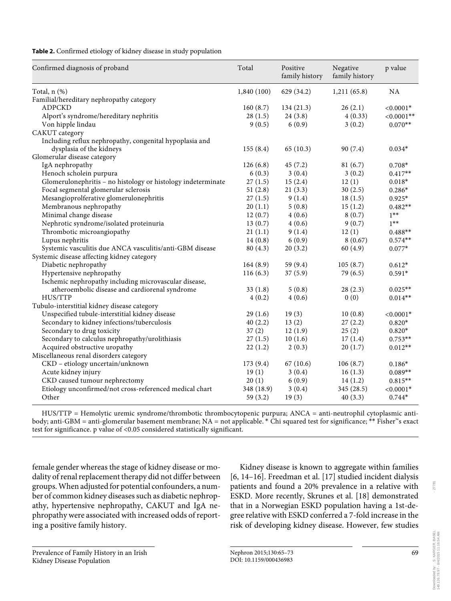**Table 2.** Confirmed etiology of kidney disease in study population

| Confirmed diagnosis of proband                               | Total      | Positive<br>family history | Negative<br>family history | p value      |
|--------------------------------------------------------------|------------|----------------------------|----------------------------|--------------|
| Total, $n$ $(\%)$                                            | 1,840(100) | 629 (34.2)                 | 1,211(65.8)                | <b>NA</b>    |
| Familial/hereditary nephropathy category                     |            |                            |                            |              |
| <b>ADPCKD</b>                                                | 160(8.7)   | 134(21.3)                  | 26(2.1)                    | $< 0.0001*$  |
| Alport's syndrome/hereditary nephritis                       | 28(1.5)    | 24(3.8)                    | 4(0.33)                    | $< 0.0001**$ |
| Von hipple lindau                                            | 9(0.5)     | 6(0.9)                     | 3(0.2)                     | $0.070**$    |
| CAKUT category                                               |            |                            |                            |              |
| Including reflux nephropathy, congenital hypoplasia and      |            |                            |                            |              |
| dysplasia of the kidneys                                     | 155(8.4)   | 65(10.3)                   | 90(7.4)                    | $0.034*$     |
| Glomerular disease category                                  |            |                            |                            |              |
| IgA nephropathy                                              | 126(6.8)   | 45(7.2)                    | 81 (6.7)                   | $0.708*$     |
| Henoch scholein purpura                                      | 6(0.3)     | 3(0.4)                     | 3(0.2)                     | $0.417**$    |
| Glomerulonephritis - no histology or histology indeterminate | 27(1.5)    | 15(2.4)                    | 12(1)                      | $0.018*$     |
| Focal segmental glomerular sclerosis                         | 51(2.8)    | 21(3.3)                    | 30(2.5)                    | $0.286*$     |
| Mesangioprolferative glomerulonephritis                      | 27(1.5)    | 9(1.4)                     | 18(1.5)                    | $0.925*$     |
| Membranous nephropathy                                       | 20(1.1)    | 5(0.8)                     | 15(1.2)                    | $0.482**$    |
| Minimal change disease                                       | 12(0.7)    | 4(0.6)                     | 8(0.7)                     | $1***$       |
| Nephrotic syndrome/isolated proteinuria                      | 13(0.7)    | 4(0.6)                     | 9(0.7)                     | $1***$       |
| Thrombotic microangiopathy                                   | 21(1.1)    | 9(1.4)                     | 12(1)                      | $0.488**$    |
| Lupus nephritis                                              | 14(0.8)    | 6(0.9)                     | 8(0.67)                    | $0.574**$    |
| Systemic vasculitis due ANCA vasculitis/anti-GBM disease     | 80(4.3)    | 20(3.2)                    | 60(4.9)                    | $0.077*$     |
| Systemic disease affecting kidney category                   |            |                            |                            |              |
| Diabetic nephropathy                                         | 164(8.9)   | 59 (9.4)                   | 105(8.7)                   | $0.612*$     |
| Hypertensive nephropathy                                     | 116(6.3)   | 37(5.9)                    | 79 (6.5)                   | $0.591*$     |
| Ischemic nephropathy including microvascular disease,        |            |                            |                            |              |
| atheroembolic disease and cardiorenal syndrome               | 33(1.8)    | 5(0.8)                     | 28(2.3)                    | $0.025**$    |
| HUS/TTP                                                      | 4(0.2)     | 4(0.6)                     | 0(0)                       | $0.014**$    |
| Tubulo-interstitial kidney disease category                  |            |                            |                            |              |
| Unspecified tubule-interstitial kidney disease               | 29(1.6)    | 19(3)                      | 10(0.8)                    | $< 0.0001*$  |
| Secondary to kidney infections/tuberculosis                  | 40(2.2)    | 13(2)                      | 27(2.2)                    | $0.820*$     |
| Secondary to drug toxicity                                   | 37(2)      | 12(1.9)                    | 25(2)                      | $0.820*$     |
| Secondary to calculus nephropathy/urolithiasis               | 27(1.5)    | 10(1.6)                    | 17(1.4)                    | $0.753**$    |
| Acquired obstructive uropathy                                | 22(1.2)    | 2(0.3)                     | 20(1.7)                    | $0.012**$    |
| Miscellaneous renal disorders category                       |            |                            |                            |              |
| CKD - etiology uncertain/unknown                             | 173(9.4)   | 67(10.6)                   | 106(8.7)                   | $0.186*$     |
| Acute kidney injury                                          | 19(1)      | 3(0.4)                     | 16(1.3)                    | $0.089**$    |
| CKD caused tumour nephrectomy                                | 20(1)      | 6(0.9)                     | 14(1.2)                    | $0.815**$    |
| Etiology unconfirmed/not cross-referenced medical chart      | 348 (18.9) | 3(0.4)                     | 345 (28.5)                 | $< 0.0001*$  |
| Other                                                        | 59(3.2)    | 19(3)                      | 40(3.3)                    | $0.744*$     |

 HUS/TTP = Hemolytic uremic syndrome/thrombotic thrombocytopenic purpura; ANCA = anti-neutrophil cytoplasmic antibody; anti-GBM = anti-glomerular basement membrane; NA = not applicable. \* Chi squared test for significance; \*\* Fisher''s exact test for significance. p value of <0.05 considered statistically significant.

female gender whereas the stage of kidney disease or modality of renal replacement therapy did not differ between groups. When adjusted for potential confounders, a number of common kidney diseases such as diabetic nephropathy, hypertensive nephropathy, CAKUT and IgA nephropathy were associated with increased odds of reporting a positive family history.

 Kidney disease is known to aggregate within families [6, 14–16] . Freedman et al. [17] studied incident dialysis patients and found a 20% prevalence in a relative with ESKD. More recently, Skrunes et al. [18] demonstrated that in a Norwegian ESKD population having a 1st-degree relative with ESKD conferred a 7-fold increase in the risk of developing kidney disease. However, few studies

 Prevalence of Family History in an Irish Kidney Disease Population

Nephron 2015;130:65–73 DOI: 10.1159/000436983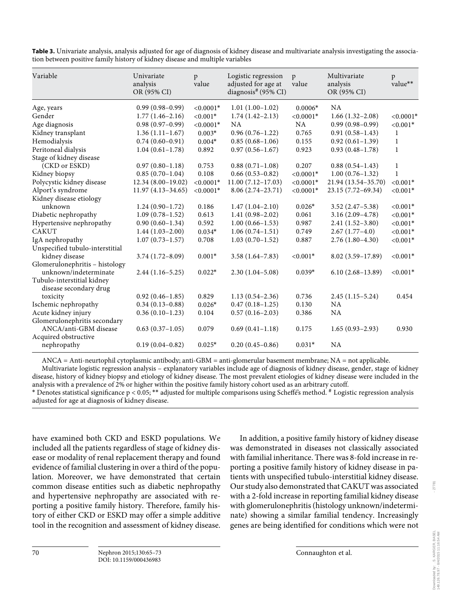| Variable                        | Univariate              | $\mathfrak{p}$<br>value | Logistic regression                                   | $\mathfrak{p}$<br>value | Multivariate            | p<br>value** |
|---------------------------------|-------------------------|-------------------------|-------------------------------------------------------|-------------------------|-------------------------|--------------|
|                                 | analysis<br>OR (95% CI) |                         | adjusted for age at<br>diagnosis# $(95\% \text{ CI})$ |                         | analysis<br>OR (95% CI) |              |
| Age, years                      | $0.99(0.98 - 0.99)$     | $< 0.0001*$             | $1.01(1.00-1.02)$                                     | $0.0006*$               | <b>NA</b>               |              |
| Gender                          | $1.77(1.46-2.16)$       | $< 0.001*$              | $1.74(1.42 - 2.13)$                                   | $< 0.0001*$             | $1.66(1.32 - 2.08)$     | $< 0.0001*$  |
| Age diagnosis                   | $0.98(0.97-0.99)$       | $< 0.0001*$             | <b>NA</b>                                             | <b>NA</b>               | $0.99(0.98 - 0.99)$     | $< 0.001*$   |
| Kidney transplant               | $1.36(1.11-1.67)$       | $0.003*$                | $0.96(0.76-1.22)$                                     | 0.765                   | $0.91(0.58-1.43)$       | $\mathbf{1}$ |
| Hemodialysis                    | $0.74(0.60 - 0.91)$     | $0.004*$                | $0.85(0.68 - 1.06)$                                   | 0.155                   | $0.92(0.61-1.39)$       | $\mathbf{1}$ |
| Peritoneal dialysis             | $1.04(0.61 - 1.78)$     | 0.892                   | $0.97(0.56 - 1.67)$                                   | 0.923                   | $0.93(0.48 - 1.78)$     | $\mathbf{1}$ |
| Stage of kidney disease         |                         |                         |                                                       |                         |                         |              |
| (CKD or ESKD)                   | $0.97(0.80 - 1.18)$     | 0.753                   | $0.88(0.71-1.08)$                                     | 0.207                   | $0.88(0.54 - 1.43)$     | $\mathbf{1}$ |
| Kidney biopsy                   | $0.85(0.70-1.04)$       | 0.108                   | $0.66(0.53-0.82)$                                     | $< 0.0001*$             | $1.00(0.76 - 1.32)$     | $\mathbf{1}$ |
| Polycystic kidney disease       | $12.34(8.00-19.02)$     | $< 0.0001*$             | $11.00(7.12 - 17.03)$                                 | $< 0.0001*$             | 21.94 (13.54–35.70)     | $< 0.001*$   |
| Alport's syndrome               | $11.97(4.13 - 34.65)$   | $< 0.0001*$             | $8.06(2.74-23.71)$                                    | $< 0.0001*$             | 23.15 (7.72–69.34)      | $< 0.001*$   |
| Kidney disease etiology         |                         |                         |                                                       |                         |                         |              |
| unknown                         | $1.24(0.90-1.72)$       | 0.186                   | $1.47(1.04-2.10)$                                     | $0.026*$                | $3.52(2.47-5.38)$       | $< 0.001*$   |
| Diabetic nephropathy            | $1.09(0.78-1.52)$       | 0.613                   | $1.41(0.98 - 2.02)$                                   | 0.061                   | $3.16(2.09 - 4.78)$     | $< 0.001*$   |
| Hypertensive nephropathy        | $0.90(0.60 - 1.34)$     | 0.592                   | $1.00(0.66 - 1.53)$                                   | 0.987                   | $2.41(1.52 - 3.80)$     | ${<}0.001*$  |
| <b>CAKUT</b>                    | $1.44(1.03-2.00)$       | $0.034*$                | $1.06(0.74-1.51)$                                     | 0.749                   | $2.67(1.77-4.0)$        | ${<}0.001*$  |
| IgA nephropathy                 | $1.07(0.73 - 1.57)$     | 0.708                   | $1.03(0.70-1.52)$                                     | 0.887                   | $2.76(1.80-4.30)$       | $< 0.001*$   |
| Unspecified tubulo-interstitial |                         |                         |                                                       |                         |                         |              |
| kidney disease                  | $3.74(1.72 - 8.09)$     | $0.001*$                | $3.58(1.64 - 7.83)$                                   | $< 0.001*$              | $8.02(3.59 - 17.89)$    | $< 0.001*$   |
| Glomerulonephritis - histology  |                         |                         |                                                       |                         |                         |              |
| unknown/indeterminate           | $2.44(1.16-5.25)$       | $0.022*$                | $2.30(1.04 - 5.08)$                                   | $0.039*$                | $6.10(2.68 - 13.89)$    | $< 0.001*$   |
| Tubulo-interstitial kidney      |                         |                         |                                                       |                         |                         |              |
| disease secondary drug          |                         |                         |                                                       |                         |                         |              |
| toxicity                        | $0.92(0.46 - 1.85)$     | 0.829                   | $1.13(0.54 - 2.36)$                                   | 0.736                   | $2.45(1.15-5.24)$       | 0.454        |
| Ischemic nephropathy            | $0.34(0.13 - 0.88)$     | $0.026*$                | $0.47(0.18-1.25)$                                     | 0.130                   | NA                      |              |
| Acute kidney injury             | $0.36(0.10-1.23)$       | 0.104                   | $0.57(0.16-2.03)$                                     | 0.386                   | <b>NA</b>               |              |
| Glomerulonephritis secondary    |                         |                         |                                                       |                         |                         |              |
| ANCA/anti-GBM disease           | $0.63(0.37-1.05)$       | 0.079                   | $0.69(0.41-1.18)$                                     | 0.175                   | $1.65(0.93-2.93)$       | 0.930        |
| Acquired obstructive            |                         |                         |                                                       |                         |                         |              |
| nephropathy                     | $0.19(0.04 - 0.82)$     | $0.025*$                | $0.20(0.45-0.86)$                                     | $0.031*$                | <b>NA</b>               |              |

**Table 3.** Univariate analysis, analysis adjusted for age of diagnosis of kidney disease and multivariate analysis investigating the association between positive family history of kidney disease and multiple variables

 ANCA = Anti-neurtophil cytoplasmic antibody; anti-GBM = anti-glomerular basement membrane; NA = not applicable. Multivariate logistic regression analysis – explanatory variables include age of diagnosis of kidney disease, gender, stage of kidney disease, history of kidney biopsy and etiology of kidney disease. The most prevalent etiologies of kidney disease were included in the analysis with a prevalence of 2% or higher within the positive family history cohort used as an arbitrary cutoff.

\* Denotes statistical significance  $p < 0.05$ ; \*\* adjusted for multiple comparisons using Scheffe's method. # Logistic regression analysis adjusted for age at diagnosis of kidney disease.

have examined both CKD and ESKD populations. We included all the patients regardless of stage of kidney disease or modality of renal replacement therapy and found evidence of familial clustering in over a third of the population. Moreover, we have demonstrated that certain common disease entities such as diabetic nephropathy and hypertensive nephropathy are associated with reporting a positive family history. Therefore, family history of either CKD or ESKD may offer a simple additive tool in the recognition and assessment of kidney disease.

 In addition, a positive family history of kidney disease was demonstrated in diseases not classically associated with familial inheritance. There was 8-fold increase in reporting a positive family history of kidney disease in patients with unspecified tubulo-interstitial kidney disease. Our study also demonstrated that CAKUT was associated with a 2-fold increase in reporting familial kidney disease with glomerulonephritis (histology unknown/indeterminate) showing a similar familial tendency. Increasingly genes are being identified for conditions which were not

27781

149.126.78.97 - 8/4/2015 11:16:54 AM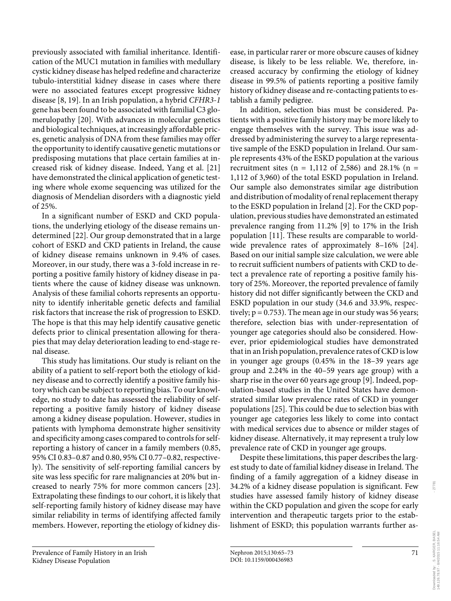previously associated with familial inheritance. Identification of the MUC1 mutation in families with medullary cystic kidney disease has helped redefine and characterize tubulo-interstitial kidney disease in cases where there were no associated features except progressive kidney disease [8, 19] . In an Irish population, a hybrid *CFHR3-1* gene has been found to be associated with familial C3 glomerulopathy [20]. With advances in molecular genetics and biological techniques, at increasingly affordable prices, genetic analysis of DNA from these families may offer the opportunity to identify causative genetic mutations or predisposing mutations that place certain families at increased risk of kidney disease. Indeed, Yang et al. [21] have demonstrated the clinical application of genetic testing where whole exome sequencing was utilized for the diagnosis of Mendelian disorders with a diagnostic yield of 25%.

 In a significant number of ESKD and CKD populations, the underlying etiology of the disease remains undetermined [22]. Our group demonstrated that in a large cohort of ESKD and CKD patients in Ireland, the cause of kidney disease remains unknown in 9.4% of cases. Moreover, in our study, there was a 3-fold increase in reporting a positive family history of kidney disease in patients where the cause of kidney disease was unknown. Analysis of these familial cohorts represents an opportunity to identify inheritable genetic defects and familial risk factors that increase the risk of progression to ESKD. The hope is that this may help identify causative genetic defects prior to clinical presentation allowing for therapies that may delay deterioration leading to end-stage renal disease.

 This study has limitations. Our study is reliant on the ability of a patient to self-report both the etiology of kidney disease and to correctly identify a positive family history which can be subject to reporting bias. To our knowledge, no study to date has assessed the reliability of selfreporting a positive family history of kidney disease among a kidney disease population. However, studies in patients with lymphoma demonstrate higher sensitivity and specificity among cases compared to controls for selfreporting a history of cancer in a family members (0.85, 95% CI 0.83–0.87 and 0.80, 95% CI 0.77–0.82, respectively). The sensitivity of self-reporting familial cancers by site was less specific for rare malignancies at 20% but increased to nearly 75% for more common cancers [23] . Extrapolating these findings to our cohort, it is likely that self-reporting family history of kidney disease may have similar reliability in terms of identifying affected family members. However, reporting the etiology of kidney disease, in particular rarer or more obscure causes of kidney disease, is likely to be less reliable. We, therefore, increased accuracy by confirming the etiology of kidney disease in 99.5% of patients reporting a positive family history of kidney disease and re-contacting patients to establish a family pedigree.

 In addition, selection bias must be considered. Patients with a positive family history may be more likely to engage themselves with the survey. This issue was addressed by administering the survey to a large representative sample of the ESKD population in Ireland. Our sample represents 43% of the ESKD population at the various recruitment sites (n = 1,112 of 2,586) and 28.1% (n = 1,112 of 3,960) of the total ESKD population in Ireland. Our sample also demonstrates similar age distribution and distribution of modality of renal replacement therapy to the ESKD population in Ireland [2] . For the CKD population, previous studies have demonstrated an estimated prevalence ranging from 11.2% [9] to 17% in the Irish population [11]. These results are comparable to worldwide prevalence rates of approximately 8-16% [24]. Based on our initial sample size calculation, we were able to recruit sufficient numbers of patients with CKD to detect a prevalence rate of reporting a positive family history of 25%. Moreover, the reported prevalence of family history did not differ significantly between the CKD and ESKD population in our study (34.6 and 33.9%, respectively;  $p = 0.753$ ). The mean age in our study was 56 years; therefore, selection bias with under-representation of younger age categories should also be considered. However, prior epidemiological studies have demonstrated that in an Irish population, prevalence rates of CKD is low in younger age groups (0.45% in the 18–39 years age group and 2.24% in the 40–59 years age group) with a sharp rise in the over 60 years age group [9]. Indeed, population-based studies in the United States have demonstrated similar low prevalence rates of CKD in younger populations [25] . This could be due to selection bias with younger age categories less likely to come into contact with medical services due to absence or milder stages of kidney disease. Alternatively, it may represent a truly low prevalence rate of CKD in younger age groups.

 Despite these limitations, this paper describes the largest study to date of familial kidney disease in Ireland. The finding of a family aggregation of a kidney disease in 34.2% of a kidney disease population is significant. Few studies have assessed family history of kidney disease within the CKD population and given the scope for early intervention and therapeutic targets prior to the establishment of ESKD; this population warrants further as-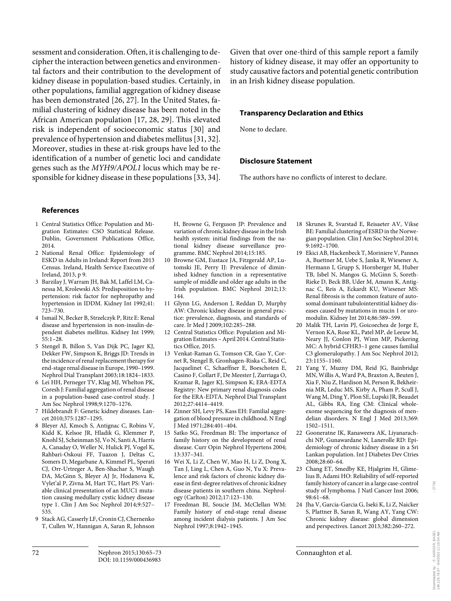sessment and consideration. Often, it is challenging to decipher the interaction between genetics and environmental factors and their contribution to the development of kidney disease in population-based studies. Certainly, in other populations, familial aggregation of kidney disease has been demonstrated [26, 27]. In the United States, familial clustering of kidney disease has been noted in the African American population [17, 28, 29]. This elevated risk is independent of socioeconomic status [30] and prevalence of hypertension and diabetes mellitus [31, 32] . Moreover, studies in these at-risk groups have led to the identification of a number of genetic loci and candidate genes such as the *MYH9/APOL1* locus which may be responsible for kidney disease in these populations [33, 34] .

Given that over one-third of this sample report a family history of kidney disease, it may offer an opportunity to study causative factors and potential genetic contribution in an Irish kidney disease population.

#### **Transparency Declaration and Ethics**

None to declare.

#### **Disclosure Statement**

The authors have no conflicts of interest to declare.

#### **References**

- 1 Central Statistics Office: Population and Migration Estimates: CSO Statistical Release. Dublin, Government Publications Office, 2014.
- 2 National Renal Office: Epidemiology of ESKD in Adults in Ireland: Report from 2013 Census. Ireland, Health Service Executive of Ireland, 2013, p 9.
- 3 Barzilay J, Warram JH, Bak M, Laffel LM, Canessa M, Krolewski AS: Predisposition to hypertension: risk factor for nephropathy and hypertension in IDDM. Kidney Int 1992;41: 723–730.
- 4 Ismail N, Becker B, Strzelczyk P, Ritz E: Renal disease and hypertension in non-insulin-dependent diabetes mellitus. Kidney Int 1999;  $55 \cdot 1 - 28$
- 5 Stengel B, Billon S, Van Dijk PC, Jager KJ, Dekker FW, Simpson K, Briggs JD: Trends in the incidence of renal replacement therapy for end-stage renal disease in Europe, 1990–1999. Nephrol Dial Transplant 2003;18:1824–1833.
- 6 Lei HH, Perneger TV, Klag MJ, Whelton PK, Coresh J: Familial aggregation of renal disease in a population-based case-control study. J Am Soc Nephrol 1998;9:1270–1276.
- 7 Hildebrandt F: Genetic kidney diseases. Lancet 2010;375:1287–1295.
- 8 Bleyer AJ, Kmoch S, Antignac C, Robins V, Kidd K, Kelsoe JR, Hladik G, Klemmer P, Knohl SJ, Scheinman SJ, Vo N, Santi A, Harris A, Canaday O, Weller N, Hulick PJ, Vogel K, Rahbari-Oskoui FF, Tuazon J, Deltas C, Somers D, Megarbane A, Kimmel PL, Sperati CJ, Orr-Urtreger A, Ben-Shachar S, Waugh DA, McGinn S, Bleyer AJ Jr, Hodanova K, Vylet'al P, Zivna M, Hart TC, Hart PS: Variable clinical presentation of an MUC1 mutation causing medullary cystic kidney disease type 1. Clin J Am Soc Nephrol 2014;9:527– 535.
- 9 Stack AG, Casserly LF, Cronin CJ, Chernenko T, Cullen W, Hannigan A, Saran R, Johnson

H, Browne G, Ferguson JP: Prevalence and variation of chronic kidney disease in the Irish health system: initial findings from the national kidney disease surveillance programme. BMC Nephrol 2014;15:185.

- 10 Browne GM, Eustace JA, Fitzgerald AP, Lutomski JE, Perry IJ: Prevalence of diminished kidney function in a representative sample of middle and older age adults in the Irish population. BMC Nephrol 2012;13: 144.
- 11 Glynn LG, Anderson J, Reddan D, Murphy AW: Chronic kidney disease in general practice: prevalence, diagnosis, and standards of care. Ir Med J 2009;102:285–288.
- 12 Central Statistics Office: Population and Migration Estimates – April 2014. Central Statistics Office, 2015.
- 13 Venkat-Raman G, Tomson CR, Gao Y, Cornet R, Stengel B, Gronhagen-Riska C, Reid C, Jacquelinet C, Schaeffner E, Boeschoten E, Casino F, Collart F, De Meester J, Zurriaga O, Kramar R, Jager KJ, Simpson K; ERA-EDTA Registry: New primary renal diagnosis codes for the ERA-EDTA. Nephrol Dial Transplant 2012;27:4414–4419.
- 14 Zinner SH, Levy PS, Kass EH: Familial aggregation of blood pressure in childhood. N Engl J Med 1971;284:401–404.
- 15 Satko SG, Freedman BI: The importance of family history on the development of renal disease. Curr Opin Nephrol Hypertens 2004; 13:337–341.
- 16 Wei X, Li Z, Chen W, Mao H, Li Z, Dong X, Tan J, Ling L, Chen A, Guo N, Yu X: Prevalence and risk factors of chronic kidney disease in first-degree relatives of chronic kidney disease patients in southern china. Nephrology (Carlton) 2012;17:123–130.
- 17 Freedman BI, Soucie JM, McClellan WM: Family history of end-stage renal disease among incident dialysis patients. J Am Soc Nephrol 1997;8:1942–1945.
- 18 Skrunes R, Svarstad E, Reisaeter AV, Vikse BE: Familial clustering of ESRD in the Norwegian population. Clin J Am Soc Nephrol 2014; 9:1692–1700.
- 19 Ekici AB, Hackenbeck T, Moriniere V, Pannes A, Buettner M, Uebe S, Janka R, Wiesener A, Hermann I, Grupp S, Hornberger M, Huber TB, Isbel N, Mangos G, McGinn S, Soreth-Rieke D, Beck BB, Uder M, Amann K, Antignac C, Reis A, Eckardt KU, Wiesener MS: Renal fibrosis is the common feature of autosomal dominant tubulointerstitial kidney diseases caused by mutations in mucin 1 or uromodulin. Kidney Int 2014;86:589–599.
- 20 Malik TH, Lavin PJ, Goicoechea de Jorge E, Vernon KA, Rose KL, Patel MP, de Leeuw M, Neary JJ, Conlon PJ, Winn MP, Pickering MC: A hybrid CFHR3–1 gene causes familial C3 glomerulopathy. J Am Soc Nephrol 2012; 23:1155–1160.
- 21 Yang Y, Muzny DM, Reid JG, Bainbridge MN, Willis A, Ward PA, Braxton A, Beuten J, Xia F, Niu Z, Hardison M, Person R, Bekheirnia MR, Leduc MS, Kirby A, Pham P, Scull J, Wang M, Ding Y, Plon SE, Lupski JR, Beaudet AL, Gibbs RA, Eng CM: Clinical wholeexome sequencing for the diagnosis of mendelian disorders. N Engl J Med 2013;369: 1502–1511.
- 22 Gooneratne IK, Ranaweera AK, Liyanarachchi NP, Gunawardane N, Lanerolle RD: Epidemiology of chronic kidney disease in a Sri Lankan population. Int J Diabetes Dev Ctries 2008;28:60–64.
- 23 Chang ET, Smedby KE, Hjalgrim H, Glimelius B, Adami HO: Reliability of self-reported family history of cancer in a large case-control study of lymphoma. J Natl Cancer Inst 2006;  $98.61 - 68$
- 24 Jha V, Garcia-Garcia G, Iseki K, Li Z, Naicker S, Plattner B, Saran R, Wang AY, Yang CW: Chronic kidney disease: global dimension and perspectives. Lancet 2013;382:260–272.